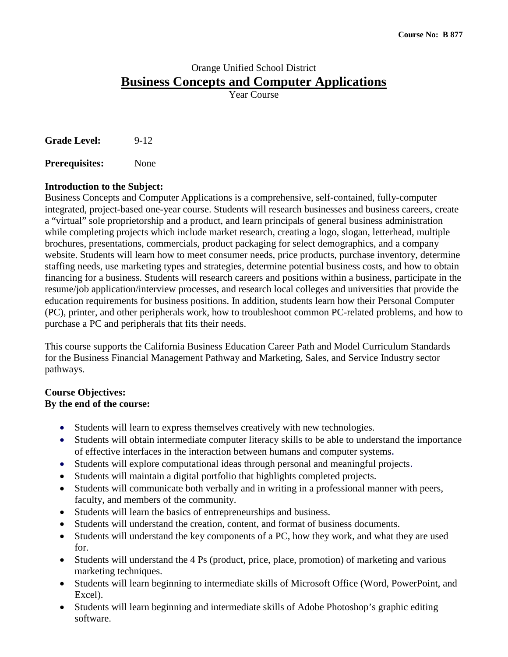# Orange Unified School District **Business Concepts and Computer Applications**

Year Course

Grade Level: 9-12

**Prerequisites:** None

# **Introduction to the Subject:**

Business Concepts and Computer Applications is a comprehensive, self-contained, fully-computer integrated, project-based one-year course. Students will research businesses and business careers, create a "virtual" sole proprietorship and a product, and learn principals of general business administration while completing projects which include market research, creating a logo, slogan, letterhead, multiple brochures, presentations, commercials, product packaging for select demographics, and a company website. Students will learn how to meet consumer needs, price products, purchase inventory, determine staffing needs, use marketing types and strategies, determine potential business costs, and how to obtain financing for a business. Students will research careers and positions within a business, participate in the resume/job application/interview processes, and research local colleges and universities that provide the education requirements for business positions. In addition, students learn how their Personal Computer (PC), printer, and other peripherals work, how to troubleshoot common PC-related problems, and how to purchase a PC and peripherals that fits their needs.

This course supports the California Business Education Career Path and Model Curriculum Standards for the Business Financial Management Pathway and Marketing, Sales, and Service Industry sector pathways.

# **Course Objectives:**

### **By the end of the course:**

- Students will learn to express themselves creatively with new technologies.
- Students will obtain intermediate computer literacy skills to be able to understand the importance of effective interfaces in the interaction between humans and computer systems.
- Students will explore computational ideas through personal and meaningful projects.
- Students will maintain a digital portfolio that highlights completed projects.
- Students will communicate both verbally and in writing in a professional manner with peers, faculty, and members of the community.
- Students will learn the basics of entrepreneurships and business.
- Students will understand the creation, content, and format of business documents.
- Students will understand the key components of a PC, how they work, and what they are used for.
- Students will understand the 4 Ps (product, price, place, promotion) of marketing and various marketing techniques.
- Students will learn beginning to intermediate skills of Microsoft Office (Word, PowerPoint, and Excel).
- Students will learn beginning and intermediate skills of Adobe Photoshop's graphic editing software.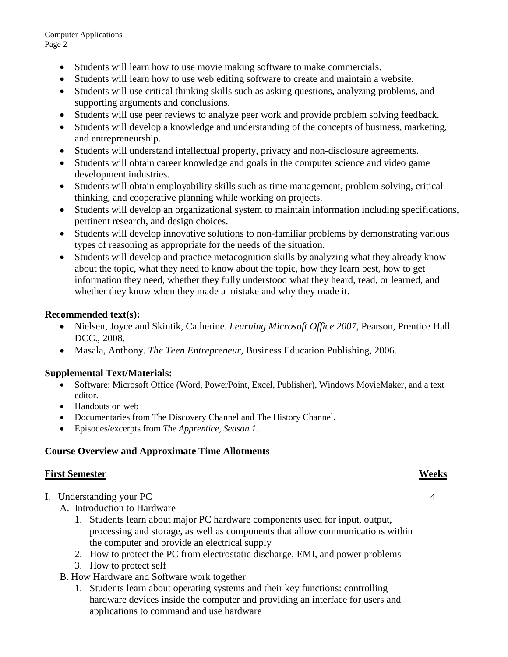Computer Applications Page 2

- Students will learn how to use movie making software to make commercials.
- Students will learn how to use web editing software to create and maintain a website.
- Students will use critical thinking skills such as asking questions, analyzing problems, and supporting arguments and conclusions.
- Students will use peer reviews to analyze peer work and provide problem solving feedback.
- Students will develop a knowledge and understanding of the concepts of business, marketing, and entrepreneurship.
- Students will understand intellectual property, privacy and non-disclosure agreements.
- Students will obtain career knowledge and goals in the computer science and video game development industries.
- Students will obtain employability skills such as time management, problem solving, critical thinking, and cooperative planning while working on projects.
- Students will develop an organizational system to maintain information including specifications, pertinent research, and design choices.
- Students will develop innovative solutions to non-familiar problems by demonstrating various types of reasoning as appropriate for the needs of the situation.
- Students will develop and practice metacognition skills by analyzing what they already know about the topic, what they need to know about the topic, how they learn best, how to get information they need, whether they fully understood what they heard, read, or learned, and whether they know when they made a mistake and why they made it.

### **Recommended text(s):**

- Nielsen, Joyce and Skintik, Catherine. *Learning Microsoft Office 2007*, Pearson, Prentice Hall DCC., 2008.
- Masala, Anthony. *The Teen Entrepreneur*, Business Education Publishing, 2006.

### **Supplemental Text/Materials:**

- Software: Microsoft Office (Word, PowerPoint, Excel, Publisher), Windows MovieMaker, and a text editor.
- Handouts on web
- Documentaries from The Discovery Channel and The History Channel.
- Episodes/excerpts from *The Apprentice, Season 1.*

# **Course Overview and Approximate Time Allotments**

### **First Semester Weeks**

- I. Understanding your PC 4
	- A. Introduction to Hardware
		- 1. Students learn about major PC hardware components used for input, output, processing and storage, as well as components that allow communications within the computer and provide an electrical supply
		- 2. How to protect the PC from electrostatic discharge, EMI, and power problems
		- 3. How to protect self
	- B. How Hardware and Software work together
		- 1. Students learn about operating systems and their key functions: controlling hardware devices inside the computer and providing an interface for users and applications to command and use hardware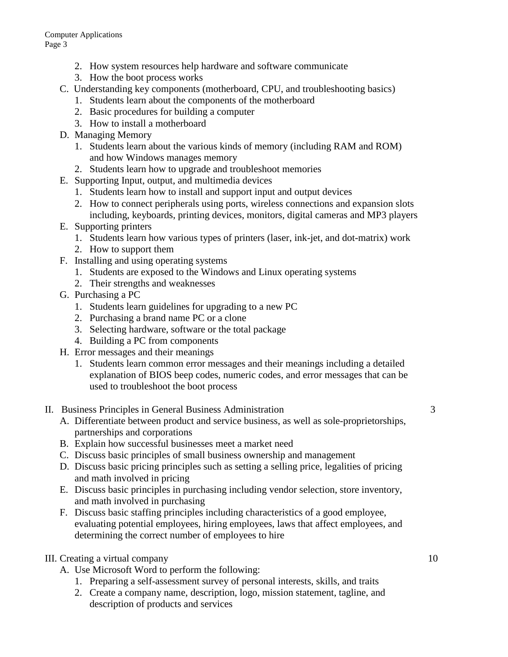- 2. How system resources help hardware and software communicate
- 3. How the boot process works
- C. Understanding key components (motherboard, CPU, and troubleshooting basics)
	- 1. Students learn about the components of the motherboard
	- 2. Basic procedures for building a computer
	- 3. How to install a motherboard
- D. Managing Memory
	- 1. Students learn about the various kinds of memory (including RAM and ROM) and how Windows manages memory
	- 2. Students learn how to upgrade and troubleshoot memories
- E. Supporting Input, output, and multimedia devices
	- 1. Students learn how to install and support input and output devices
	- 2. How to connect peripherals using ports, wireless connections and expansion slots including, keyboards, printing devices, monitors, digital cameras and MP3 players
- E. Supporting printers
	- 1. Students learn how various types of printers (laser, ink-jet, and dot-matrix) work
	- 2. How to support them
- F. Installing and using operating systems
	- 1. Students are exposed to the Windows and Linux operating systems
	- 2. Their strengths and weaknesses
- G. Purchasing a PC
	- 1. Students learn guidelines for upgrading to a new PC
	- 2. Purchasing a brand name PC or a clone
	- 3. Selecting hardware, software or the total package
	- 4. Building a PC from components
- H. Error messages and their meanings
	- 1. Students learn common error messages and their meanings including a detailed explanation of BIOS beep codes, numeric codes, and error messages that can be used to troubleshoot the boot process
- II. Business Principles in General Business Administration 3
	- A. Differentiate between product and service business, as well as sole-proprietorships, partnerships and corporations
	- B. Explain how successful businesses meet a market need
	- C. Discuss basic principles of small business ownership and management
	- D. Discuss basic pricing principles such as setting a selling price, legalities of pricing and math involved in pricing
	- E. Discuss basic principles in purchasing including vendor selection, store inventory, and math involved in purchasing
	- F. Discuss basic staffing principles including characteristics of a good employee, evaluating potential employees, hiring employees, laws that affect employees, and determining the correct number of employees to hire
- III. Creating a virtual company 10
	- A. Use Microsoft Word to perform the following:
		- 1. Preparing a self-assessment survey of personal interests, skills, and traits
		- 2. Create a company name, description, logo, mission statement, tagline, and description of products and services
-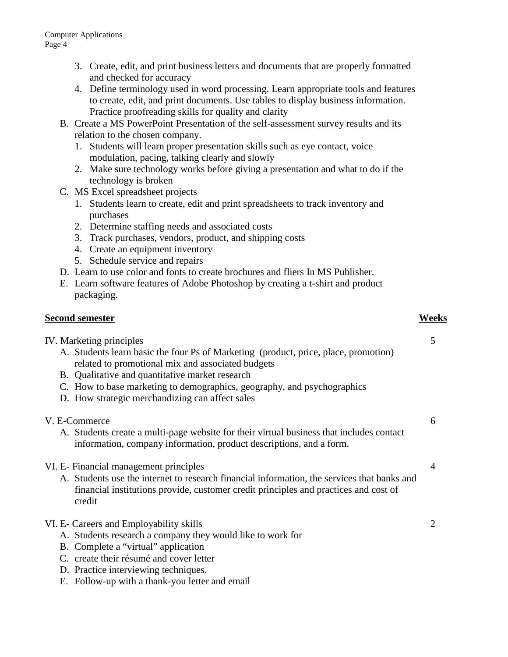- 3. Create, edit, and print business letters and documents that are properly formatted and checked for accuracy
- 4. Define terminology used in word processing. Learn appropriate tools and features to create, edit, and print documents. Use tables to display business information. Practice proofreading skills for quality and clarity
- B. Create a MS PowerPoint Presentation of the self-assessment survey results and its relation to the chosen company.
	- 1. Students will learn proper presentation skills such as eye contact, voice modulation, pacing, talking clearly and slowly
	- 2. Make sure technology works before giving a presentation and what to do if the technology is broken
- C. MS Excel spreadsheet projects
	- 1. Students learn to create, edit and print spreadsheets to track inventory and purchases
	- 2. Determine staffing needs and associated costs
	- 3. Track purchases, vendors, product, and shipping costs
	- 4. Create an equipment inventory
	- 5. Schedule service and repairs
- D. Learn to use color and fonts to create brochures and fliers In MS Publisher.
- E. Learn software features of Adobe Photoshop by creating a t-shirt and product packaging.

# **Second semester Weeks**

IV. Marketing principles 5

- A. Students learn basic the four Ps of Marketing (product, price, place, promotion) related to promotional mix and associated budgets
- B. Qualitative and quantitative market research
- C. How to base marketing to demographics, geography, and psychographics
- D. How strategic merchandizing can affect sales
- V. E-Commerce 6
	- A. Students create a multi-page website for their virtual business that includes contact information, company information, product descriptions, and a form.
- VI. E- Financial management principles 4
	- A. Students use the internet to research financial information, the services that banks and financial institutions provide, customer credit principles and practices and cost of credit
- VI. E- Careers and Employability skills 2
	- A. Students research a company they would like to work for
	- B. Complete a "virtual" application
	- C. create their résumé and cover letter
	- D. Practice interviewing techniques.
	- E. Follow-up with a thank-you letter and email